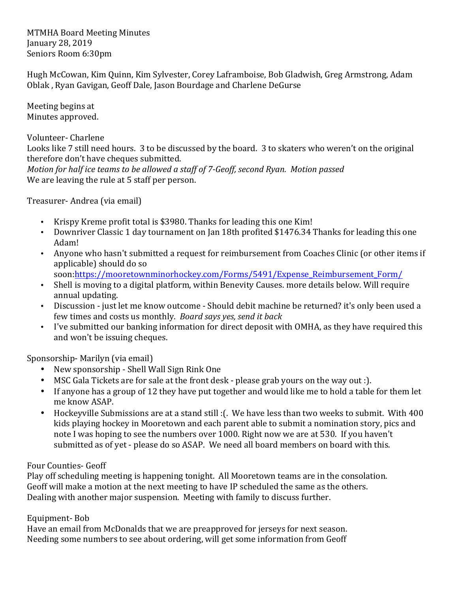**MTMHA Board Meeting Minutes** January 28, 2019 Seniors Room 6:30pm

Hugh McCowan, Kim Quinn, Kim Sylvester, Corey Laframboise, Bob Gladwish, Greg Armstrong, Adam Oblak, Ryan Gavigan, Geoff Dale, Jason Bourdage and Charlene DeGurse

Meeting begins at Minutes approved.

Volunteer- Charlene

Looks like 7 still need hours. 3 to be discussed by the board. 3 to skaters who weren't on the original therefore don't have cheques submitted.

*Motion for half ice teams to be allowed a staff of 7-Geoff, second Ryan. Motion passed* We are leaving the rule at 5 staff per person.

Treasurer-Andrea (via email)

- Krispy Kreme profit total is \$3980. Thanks for leading this one Kim!
- Downriver Classic 1 day tournament on Jan 18th profited \$1476.34 Thanks for leading this one Adam!
- Anyone who hasn't submitted a request for reimbursement from Coaches Clinic (or other items if applicable) should do so
	- soon:https://mooretownminorhockey.com/Forms/5491/Expense\_Reimbursement\_Form/
- Shell is moving to a digital platform, within Benevity Causes. more details below. Will require annual updating.
- Discussion just let me know outcome Should debit machine be returned? it's only been used a few times and costs us monthly. Board says yes, send it back
- I've submitted our banking information for direct deposit with OMHA, as they have required this and won't be issuing cheques.

Sponsorship- Marilyn (via email)

- New sponsorship Shell Wall Sign Rink One
- MSC Gala Tickets are for sale at the front desk please grab yours on the way out :).
- If anyone has a group of 12 they have put together and would like me to hold a table for them let me know ASAP.
- Hockeyville Submissions are at a stand still : (. We have less than two weeks to submit. With 400 kids playing hockey in Mooretown and each parent able to submit a nomination story, pics and note I was hoping to see the numbers over 1000. Right now we are at 530. If you haven't submitted as of yet - please do so ASAP. We need all board members on board with this.

## Four Counties- Geoff

Play off scheduling meeting is happening tonight. All Mooretown teams are in the consolation. Geoff will make a motion at the next meeting to have IP scheduled the same as the others. Dealing with another major suspension. Meeting with family to discuss further.

## Equipment- Bob

Have an email from McDonalds that we are preapproved for jerseys for next season. Needing some numbers to see about ordering, will get some information from Geoff